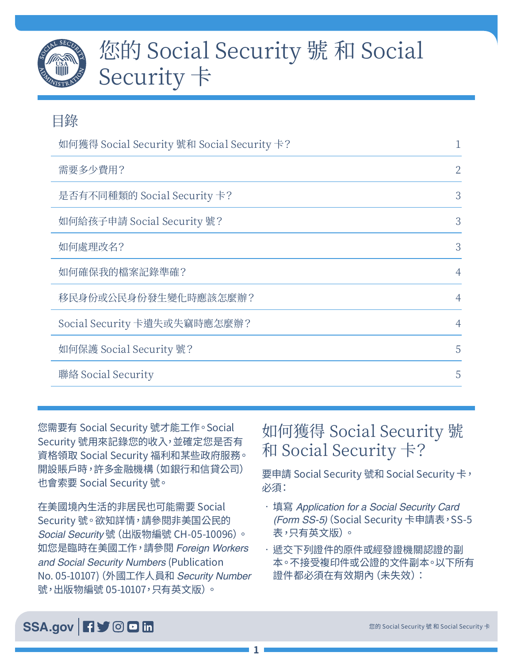

# 您的 Social Security 號 和 Social Security 卡

| 目錄                                         |                |
|--------------------------------------------|----------------|
| 如何獲得 Social Security 號和 Social Security 卡? |                |
| 需要多少費用?                                    | $\overline{2}$ |
| 是否有不同種類的 Social Security 卡?                | 3              |
| 如何給孩子申請 Social Security 號?                 | 3              |
| 如何處理改名?                                    | 3              |
| 如何確保我的檔案記錄準確?                              | $\overline{4}$ |
| 移民身份或公民身份發生變化時應該怎麼辦?                       | $\overline{4}$ |
| Social Security 卡遺失或失竊時應怎麼辦?               | 4              |
| 如何保護 Social Security 號?                    | 5              |
| 聯絡 Social Security                         | 5              |

您需要有 Social Security 號才能工作。Social Security 號用來記錄您的收入,並確定您是否有 資格領取 Social Security 福利和某些政府服務。 開設賬戶時,許多金融機構 (如銀行和信貸公司) 也會索要 Social Security 號。

在美國境內生活的非居民也可能需要 Social Security 號。欲知詳情,請參閱[非美国公民的](https://www.ssa.gov/pubs/CH-05-10096.pdf)  *Social Security* [號\(出版物編號 CH-05-10096\)](https://www.ssa.gov/pubs/CH-05-10096.pdf)。 如您是臨時在美國工作,請參閱 *[Foreign Workers](https://www.ssa.gov/pubs/EN-05-10107.pdf)  [and Social Security Numbers](https://www.ssa.gov/pubs/EN-05-10107.pdf)* (Publication [No. 05-10107\)\(](https://www.ssa.gov/pubs/EN-05-10107.pdf)外國工作人員和 *Security Number* 號,出版物編號 05-10107,只有英文版)。

# 如何獲得 Social Security 號 和 Social Security 卡?

要申請 Social Security 號和 Social Security 卡, 必須:

- 填寫 *[Application for a Social Security Card](https://www.ssa.gov/forms/ss-5.pdf)  [\(Form SS-5\)](https://www.ssa.gov/forms/ss-5.pdf)* (Social Security 卡申請表,SS-5 表,只有英文版)。
- 遞交下列證件的原件或經發證機關認證的副 本。不接受複印件或公證的文件副本。以下所有 證件都必須在有效期內(未失效):

#### SSA[.gov](https://www.ssa.gov/) **日**》 © 回 m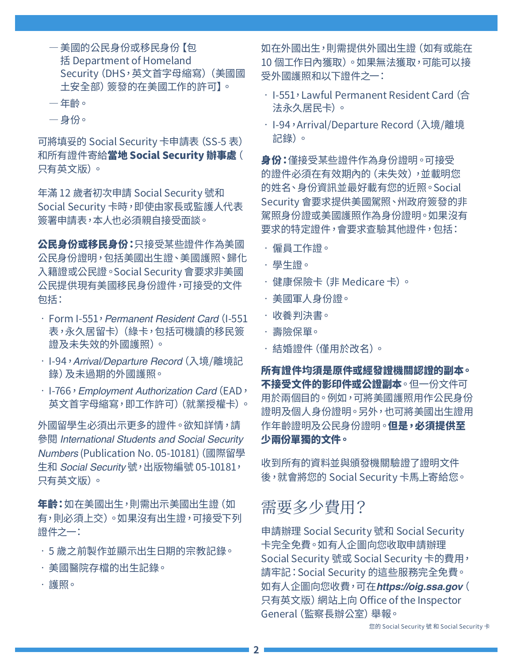- <span id="page-1-0"></span>—美國的公民身份或移民身份【包 括 Department of Homeland Security(DHS,英文首字母縮寫)(美國國 土安全部)簽發的在美國工作的許可】。
- —年齡。
- —身份。

可將填妥的 Social Security 卡申請表(SS-5 表) 和所有證件寄給[當地 Social Security 辦事處](https://secure.ssa.gov/ICON/main.jsp)( 只有英文版)。

年滿 12 歲者初次申請 Social Security 號和 Social Security 卡時,即使由家長或監護人代表 簽署申請表,本人也必須親自接受面談。

公民身份或移民身份:只接受某些證件作為美國 公民身份證明,包括美國出生證、美國護照、歸化 入籍證或公民證。Social Security 會要求非美國 公民提供現有美國移民身份證件,可接受的文件 包括:

- Form I-551,*Permanent Resident Card*(I-551 表,永久居留卡)(綠卡,包括可機讀的移民簽 證及未失效的外國護照)。
- I-94,*Arrival/Departure Record*(入境/離境記 錄)及未過期的外國護照。
- I-766,*Employment Authorization Card*(EAD, 英文首字母縮寫,即工作許可)(就業授權卡)。

外國留學生必須出示更多的證件。欲知詳情,請 參閱 *[International Students and Social Security](https://www.ssa.gov/pubs/EN-05-10181.pdf)  Numbers* [\(Publication No. 05-10181](https://www.ssa.gov/pubs/EN-05-10181.pdf))(國際留學 生和 *Social Security* 號,出版物編號 05-10181, 只有英文版)。

年齡:如在美國出生,則需出示美國出生證(如 有,則必須上交)。如果沒有出生證,可接受下列 證件之一:

- 5 歲之前製作並顯示出生日期的宗教記錄。
- 美國醫院存檔的出生記錄。
- 護照。

如在外國出生,則需提供外國出生證(如有或能在 10 個工作日內獲取)。如果無法獲取,可能可以接 受外國護照和以下證件之一:

- I-551,Lawful Permanent Resident Card(合 法永久居民卡)。
- · I-94, Arrival/Departure Record (入境/離境 記錄)。

**身份:**僅接受某些證件作為身份證明。可接受 的證件必須在有效期內的(未失效),並載明您 的姓名、身份資訊並最好載有您的近照。Social Security 會要求提供美國駕照、州政府簽發的非 駕照身份證或美國護照作為身份證明。如果沒有 要求的特定證件,會要求查驗其他證件,包括:

- 僱員工作證。
- 學生證。
- 健康保險卡(非 Medicare 卡)。
- 美國軍人身份證。
- 收養判決書。
- 壽險保單。
- 結婚證件(僅用於改名)。

所有證件均須是原件或經發證機關認證的副本。 不接受文件的影印件或公證副本。但一份文件可 用於兩個目的。例如,可將美國護照用作公民身份 證明及個人身份證明。另外,也可將美國出生證用 作年齡證明及公民身份證明。但是,必須提供至 少兩份單獨的文件。

收到所有的資料並與頒發機關驗證了證明文件 後,就會將您的 Social Security 卡馬上寄給您。

#### 需要多少費用?

申請辦理 Social Security 號和 Social Security 卡完全免費。如有人企圖向您收取申請辦理 Social Security 號或 Social Security 卡的費用, 請牢記:Social Security 的這些服務完全免費。 如有人企圖向您收費,可在*<https://oig.ssa.gov>*( 只有英文版)網站上向 Office of the Inspector General(監察長辦公室)舉報。

您的 Social Security 號 和 Social Security 卡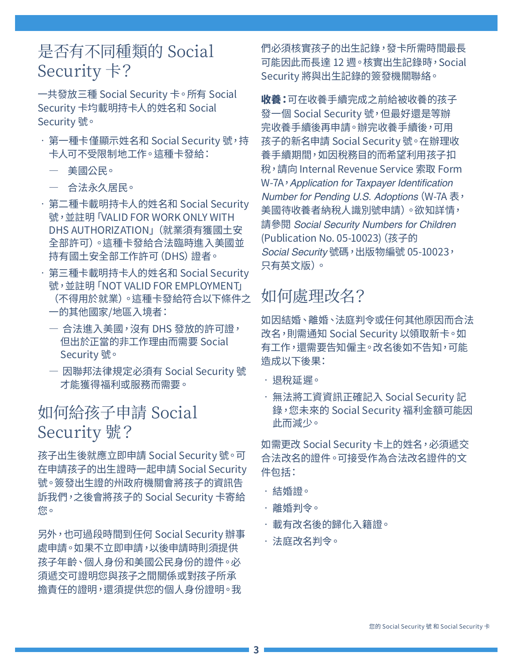# <span id="page-2-0"></span>是否有不同種類的 Social Security 卡?

一共發放三種 Social Security 卡。所有 Social Security 卡均載明持卡人的姓名和 Social Security 號。

- 第一種卡僅顯示姓名和 Social Security 號,持 卡人可不受限制地工作。這種卡發給:
	- 美國公民。
	- 合法永久居民。
- 第二種卡載明持卡人的姓名和 Social Security 號,並註明「VALID FOR WORK ONLY WITH DHS AUTHORIZATION」(就業須有獲國土安 全部許可)。這種卡發給合法臨時進入美國並 持有國土安全部工作許可(DHS)證者。
- 第三種卡載明持卡人的姓名和 Social Security 號,並註明「NOT VALID FOR EMPLOYMENT」 (不得用於就業)。這種卡發給符合以下條件之 一的其他國家/地區入境者:
	- 合法進入美國,沒有 DHS 發放的許可證, 但出於正當的非工作理由而需要 Social Security 號。
	- 因聯邦法律規定必須有 Social Security 號 才能獲得福利或服務而需要。

#### 如何給孩子申請 Social Security 號?

孩子出生後就應立即申請 Social Security 號。可 在申請孩子的出生證時一起申請 Social Security 號。簽發出生證的州政府機關會將孩子的資訊告 訴我們,之後會將孩子的 Social Security 卡寄給 您。

另外,也可過段時間到任何 Social Security 辦事 處申請。如果不立即申請,以後申請時則須提供 孩子年齡、個人身份和美國公民身份的證件。必 須遞交可證明您與孩子之間關係或對孩子所承 擔責任的證明,還須提供您的個人身份證明。我

們必須核實孩子的出生記錄,發卡所需時間最長 可能因此而長達 12 週。核實出生記錄時,Social Security 將與出生記錄的簽發機關聯絡。

**收養:**可在收養手續完成之前給被收養的孩子 發一個 Social Security 號,但最好還是等辦 完收養手續後再申請。辦完收養手續後,可用 孩子的新名申請 Social Security 號。在辦理收 養手續期間,如因稅務目的而希望利用孩子扣 稅,請向 Internal Revenue Service 索取 [Form](https://www.irs.gov/pub/irs-pdf/fw7a.pdf)  W-7A, Application for Taxpayer Identification *[Number for Pending U.S. Adoptions](https://www.irs.gov/pub/irs-pdf/fw7a.pdf)*(W-7A 表, 美國待收養者納稅人識別號申請)。欲知詳情, 請參閱 *[Social Security Numbers for Children](https://www.ssa.gov/pubs/EN-05-10023.pdf)* [\(Publication No. 05-10023\)\(](https://www.ssa.gov/pubs/EN-05-10023.pdf)孩子的 *Social Security* 號碼,出版物編號 05-10023, 只有英文版)。

## 如何處理改名?

如因結婚、離婚、法庭判令或任何其他原因而合法 改名,則需通知 Social Security 以領取新卡。如 有工作,還需要告知僱主。改名後如不告知,可能 造成以下後果:

- 退稅延遲。
- 無法將工資資訊正確記入 Social Security 記 錄,您未來的 Social Security 福利金額可能因 此而減少。

如需更改 Social Security 卡上的姓名,必須遞交 合法改名的證件。可接受作為合法改名證件的文 件包括:

- 結婚證。
- 離婚判令。
- 載有改名後的歸化入籍證。
- 法庭改名判令。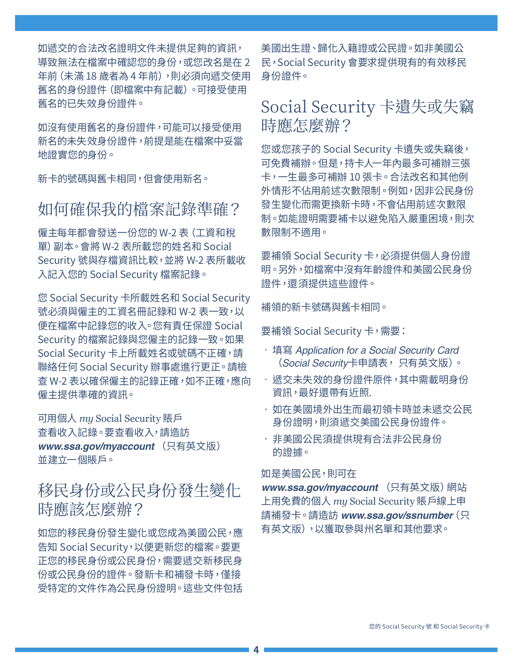<span id="page-3-0"></span>如遞交的合法改名證明文件未提供足夠的資訊, 導致無法在檔案中確認您的身份,或您改名是在 2 年前(未滿 18 歲者為 4 年前),則必須向遞交使用 舊名的身份證件(即檔案中有記載)。可接受使用 舊名的已失效身份證件。

如沒有使用舊名的身份證件,可能可以接受使用 新名的未失效身份證件,前提是能在檔案中妥當 地證實您的身份。

新卡的號碼與舊卡相同,但會使用新名。

#### 如何確保我的檔案記錄準確?

僱主每年都會發送一份您的 W-2 表(工資和稅 單)副本。會將 W-2 表所載您的姓名和 Social Security 號與存檔資訊比較,並將 W-2 表所載收 入記入您的 Social Security 檔案記錄。

您 Social Security 卡所載姓名和 Social Security 號必須與僱主的工資名冊記錄和 W-2 表一致,以 便在檔案中記錄您的收入。您有責任保證 Social Security 的檔案記錄與您僱主的記錄一致。如果 Social Security 卡上所載姓名或號碼不正確,請 聯絡任何 Social Security 辦事處進行更正。請檢 查 W-2 表以確保僱主的記錄正確,如不正確,應向 僱主提供準確的資訊。

可用個人 *my* Social Security 賬戶 查看收入記錄。要查看收入,請造訪 *[www.ssa.gov/myaccount](https://www.ssa.gov/myaccount)* (只有英文版) 並建立一個賬戶。

#### 移民身份或公民身份發生變化 時應該怎麼辦?

如您的移民身份發生變化或您成為美國公民,應 告知 Social Security,以便更新您的檔案。要更 正您的移民身份或公民身份,需要遞交新移民身 份或公民身份的證件。發新卡和補發卡時,僅接 受特定的文件作為公民身份證明。這些文件包括

美國出生證、歸化入籍證或公民證。如非美國公 民,Social Security 會要求提供現有的有效移民 身份證件。

#### Social Security 卡遺失或失竊 時應怎麼辦?

您或您孩子的 Social Security 卡遺失或失竊後, 可免費補辦。但是,持卡人一年內最多可補辦三張 卡,一生最多可補辦 10 張卡。合法改名和其他例 外情形不佔用前述次數限制。例如,因非公民身份 發生變化而需更換新卡時,不會佔用前述次數限 制。如能證明需要補卡以避免陷入嚴重困境,則次 數限制不適用。

要補領 Social Security 卡,必須提供個人身份證 明。另外,如檔案中沒有年齡證件和美國公民身份 證件,還須提供這些證件。

補領的新卡號碼與舊卡相同。

要補領 Social Security 卡,需要:

- 填寫 *[Application for a Social Security Card](https://www.ssa.gov/forms/ss-5.pdf)* (*Social Security*卡申請表, 只有英文版)。
- 遞交未失效的身份證件原件,其中需載明身份 資訊,最好還帶有近照.
- 如在美國境外出生而最初領卡時並未遞交公民 身份證明,則須遞交美國公民身份證件。
- 非美國公民須提供現有合法非公民身份 的證據。

#### 如是美國公民,則可在

[www.ssa.gov/myaccount](https://www.ssa.gov/myaccount ) (只有英文版) 網站 上用免費的個人 *my* [Social Security](https://www.ssa.gov/myaccount/) 賬戶線上申 請補發卡。請造訪 *[www.ssa.gov/ssnumber](https://www.ssa.gov/ssnumber)*(只 有英文版),以獲取參與州名單和其他要求。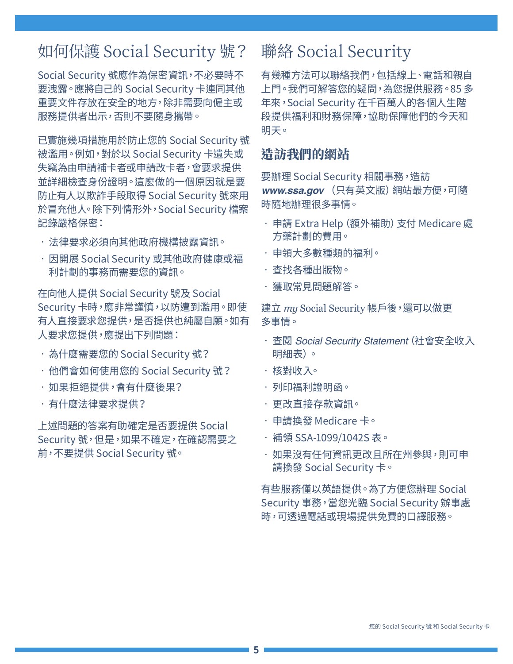# <span id="page-4-0"></span>如何保護 Social Security 號?

Social Security 號應作為保密資訊,不必要時不 要洩露。應將自己的 Social Security 卡連同其他 重要文件存放在安全的地方,除非需要向僱主或 服務提供者出示,否則不要隨身攜帶。

已實施幾項措施用於防止您的 Social Security 號 被濫用。例如,對於以 Social Security 卡遺失或 失竊為由申請補卡者或申請改卡者,會要求提供 並詳細檢查身份證明。這麼做的一個原因就是要 防止有人以欺詐手段取得 Social Security 號來用 於冒充他人。除下列情形外,Social Security 檔案 記錄嚴格保密:

- 法律要求必須向其他政府機構披露資訊。
- 因開展 Social Security 或其他政府健康或福 利計劃的事務而需要您的資訊。

在向他人提供 Social Security 號及 Social Security 卡時,應非常謹慎,以防遭到濫用。即使 有人直接要求您提供,是否提供也純屬自願。如有 人要求您提供,應提出下列問題:

- 為什麼需要您的 Social Security 號?
- 他們會如何使用您的 Social Security 號?
- 如果拒絕提供,會有什麼後果?
- 有什麼法律要求提供?

上述問題的答案有助確定是否要提供 Social Security 號,但是,如果不確定,在確認需要之 前,不要提供 Social Security 號。

#### 聯絡 Social Security

有幾種方法可以聯絡我們,包括線上、電話和親自 上門。我們可解答您的疑問,為您提供服務。85 多 年來,Social Security 在千百萬人的各個人生階 段提供福利和財務保障,協助保障他們的今天和 明天。

#### 造訪我們的網站

要辦理 Social Security 相關事務, 造訪 *[www.ssa.gov](https://www.ssa.gov)* (只有英文版)網站最方便,可隨 時隨地辦理很多事情。

- 申請 [Extra Help\(額外補助\)支付 Medicare 處](https://www.ssa.gov/i1020/) [方藥計劃的費用。](https://www.ssa.gov/i1020/)
- 申領大多數種類的[福利。](https://www.socialsecurity.gov/applyforbenefits)
- 查找各[種出版物](https://www.ssa.gov/pubs/)。
- 獲[取常見問題解答](https://faq.ssa.gov/)。

建立 *my* [Social Security](https://www.socialsecurity.gov/myaccount/) 帳戶後,還可以做更 多事情。

- 查閱 *[Social Security Statement](https://www.ssa.gov/myaccount/statement.html)*(社會安全收入 [明細表\)](https://www.ssa.gov/myaccount/statement.html)。
- 核[對收入](https://faq.ssa.gov/en-us/Topic/article/KA-01741)。
- 列印[福利證明函。](https://www.ssa.gov/myaccount/proof-of-benefits.html)
- 更改[直接存款](https://www.ssa.gov/myaccount/direct-deposit.html)資訊。
- 申[請換發 Medicare 卡。](https://faq.ssa.gov/en-us/Topic/article/KA-01735)
- • [補領 SSA-1099/1042S 表](https://www.ssa.gov/myaccount/replacement-SSA-1099.html)。
- 如果沒有任何資訊更改且所在州參與,則可申 請[換發 Social Security 卡](https://www.ssa.gov/myaccount/replacement-card.html)。

有些服務僅以英語提供。為了方便您辦理 Social Security 事務,當您光臨 Social Security 辦事處 時,可透過電話或現場提供免費的口譯服務。